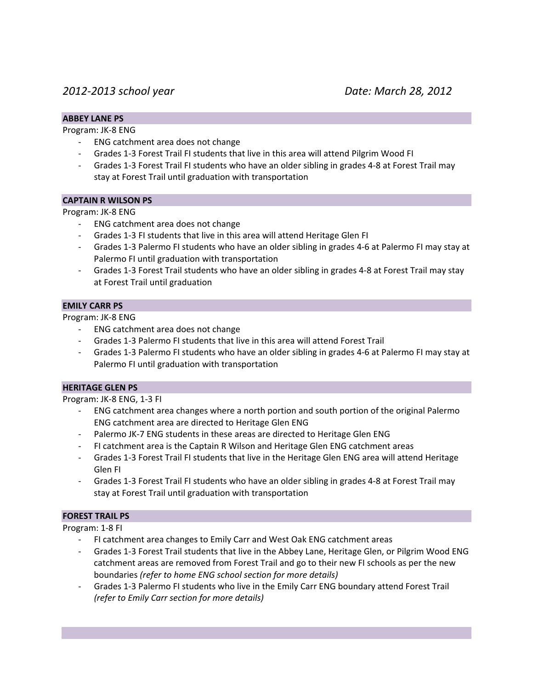# *2012-2013 school year Date: March 28, 2012*

## **ABBEY LANE PS**

Program: JK-8 ENG

- ENG catchment area does not change
- Grades 1-3 Forest Trail FI students that live in this area will attend Pilgrim Wood FI
- Grades 1-3 Forest Trail FI students who have an older sibling in grades 4-8 at Forest Trail may stay at Forest Trail until graduation with transportation

## **CAPTAIN R WILSON PS**

Program: JK-8 ENG

- ENG catchment area does not change
- Grades 1-3 FI students that live in this area will attend Heritage Glen FI
- Grades 1-3 Palermo FI students who have an older sibling in grades 4-6 at Palermo FI may stay at Palermo FI until graduation with transportation
- Grades 1-3 Forest Trail students who have an older sibling in grades 4-8 at Forest Trail may stay at Forest Trail until graduation

## **EMILY CARR PS**

Program: JK-8 ENG

- ENG catchment area does not change
- Grades 1-3 Palermo FI students that live in this area will attend Forest Trail
- Grades 1-3 Palermo FI students who have an older sibling in grades 4-6 at Palermo FI may stay at Palermo FI until graduation with transportation

#### **HERITAGE GLEN PS**

Program: JK-8 ENG, 1-3 FI

- ENG catchment area changes where a north portion and south portion of the original Palermo ENG catchment area are directed to Heritage Glen ENG
- Palermo JK-7 ENG students in these areas are directed to Heritage Glen ENG
- FI catchment area is the Captain R Wilson and Heritage Glen ENG catchment areas
- Grades 1-3 Forest Trail FI students that live in the Heritage Glen ENG area will attend Heritage Glen FI
- Grades 1-3 Forest Trail FI students who have an older sibling in grades 4-8 at Forest Trail may stay at Forest Trail until graduation with transportation

#### **FOREST TRAIL PS**

Program: 1-8 FI

- FI catchment area changes to Emily Carr and West Oak ENG catchment areas
- Grades 1-3 Forest Trail students that live in the Abbey Lane, Heritage Glen, or Pilgrim Wood ENG catchment areas are removed from Forest Trail and go to their new FI schools as per the new boundaries *(refer to home ENG school section for more details)*
- Grades 1-3 Palermo FI students who live in the Emily Carr ENG boundary attend Forest Trail *(refer to Emily Carr section for more details)*